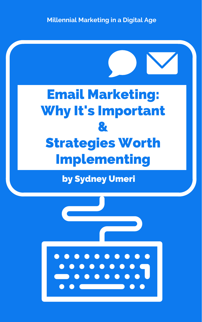#### by Sydney Umeri





**Millennial Marketing in a Digital Age**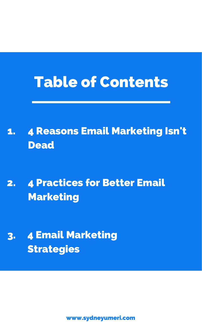### Table of Contents

4 Reasons Email Marketing Isn't Dead 1.

4 Practices for Better Email Marketing 2.

#### 4 Email Marketing Strategies 3.

[www.sydneyumeri.com](https://sydneyumeri.com/category/digital-marketing/)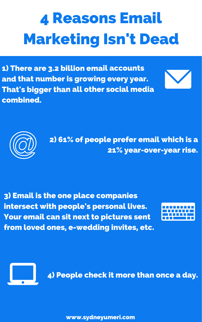# 4 Reasons Email Marketing Isn't Dead

1) There are 3.2 billion email accounts and that number is growing every year. That's bigger than all other social media combined.



2) 61% of people prefer email which is a 21% year-over-year rise.

3) Email is the one place companies intersect with people's personal lives. Your email can sit next to pictures sent from loved ones, e-wedding invites, etc.





[www.sydneyumeri.com](https://sydneyumeri.com/category/digital-marketing/)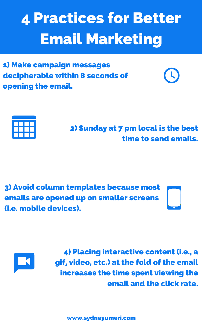### 4 Practices for Better Email Marketing

[www.sydneyumeri.com](https://sydneyumeri.com/category/digital-marketing/)

1) Make campaign messages decipherable within 8 seconds of opening the email.





#### 2) Sunday at 7 pm local is the best time to send emails.

3) Avoid column templates because most emails are opened up on smaller screens (i.e. mobile devices).





4) Placing interactive content (i.e., a gif, video, etc.) at the fold of the email increases the time spent viewing the email and the click rate.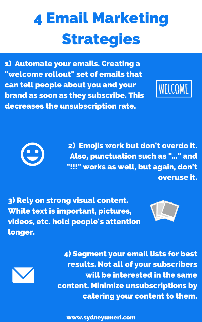# 4 Email Marketing Strategies

2) Emojis work but don't overdo it. Also, punctuation such as " ... " and "!!!" works as well, but again, don't

1) Automate your emails. Creating a "welcome rollout" set of emails that can tell people about you and your brand as soon as they subscribe. This decreases the unsubscription rate.





overuse it.

3) Rely on strong visual content. While text is important, pictures, videos, etc. hold people's attention longer.



4) Segment your email lists for best results. Not all of your subscribers will be interested in the same content. Minimize unsubscriptions by catering your content to them.

[www.sydneyumeri.com](https://sydneyumeri.com/category/digital-marketing/)